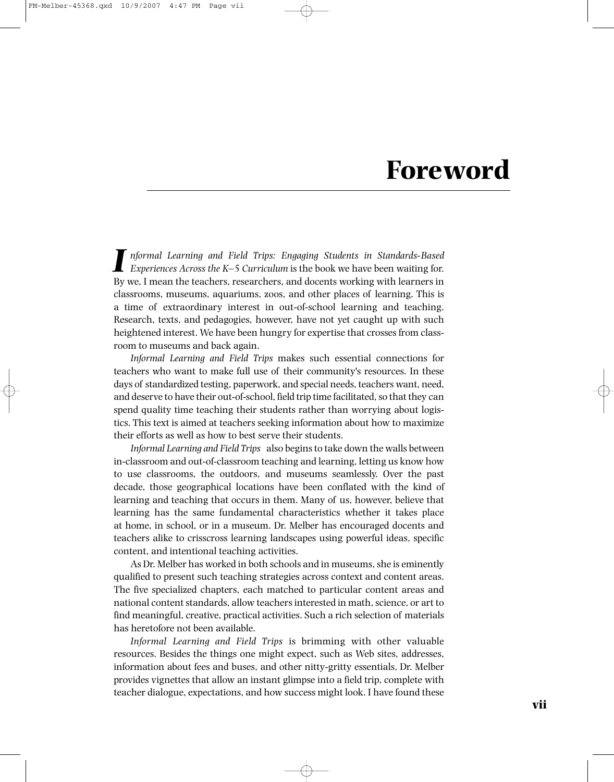## **Foreword**

*I nformal Learning and Field Trips: Engaging Students in Standards-Based Experiences Across the K–5 Curriculum* is the book we have been waiting for. By we, I mean the teachers, researchers, and docents working with learners in classrooms, museums, aquariums, zoos, and other places of learning. This is a time of extraordinary interest in out-of-school learning and teaching. Research, texts, and pedagogies, however, have not yet caught up with such heightened interest. We have been hungry for expertise that crosses from classroom to museums and back again.

*Informal Learning and Field Trips* makes such essential connections for teachers who want to make full use of their community's resources. In these days of standardized testing, paperwork, and special needs, teachers want, need, and deserve to have their out-of-school, field trip time facilitated, so that they can spend quality time teaching their students rather than worrying about logistics. This text is aimed at teachers seeking information about how to maximize their efforts as well as how to best serve their students.

*Informal Learning and Field Trips* also begins to take down the walls between in-classroom and out-of-classroom teaching and learning, letting us know how to use classrooms, the outdoors, and museums seamlessly. Over the past decade, those geographical locations have been conflated with the kind of learning and teaching that occurs in them. Many of us, however, believe that learning has the same fundamental characteristics whether it takes place at home, in school, or in a museum. Dr. Melber has encouraged docents and teachers alike to crisscross learning landscapes using powerful ideas, specific content, and intentional teaching activities.

As Dr. Melber has worked in both schools and in museums, she is eminently qualified to present such teaching strategies across context and content areas. The five specialized chapters, each matched to particular content areas and national content standards, allow teachers interested in math, science, or art to find meaningful, creative, practical activities. Such a rich selection of materials has heretofore not been available.

*Informal Learning and Field Trips* is brimming with other valuable resources. Besides the things one might expect, such as Web sites, addresses, information about fees and buses, and other nitty-gritty essentials, Dr. Melber provides vignettes that allow an instant glimpse into a field trip, complete with teacher dialogue, expectations, and how success might look. I have found these